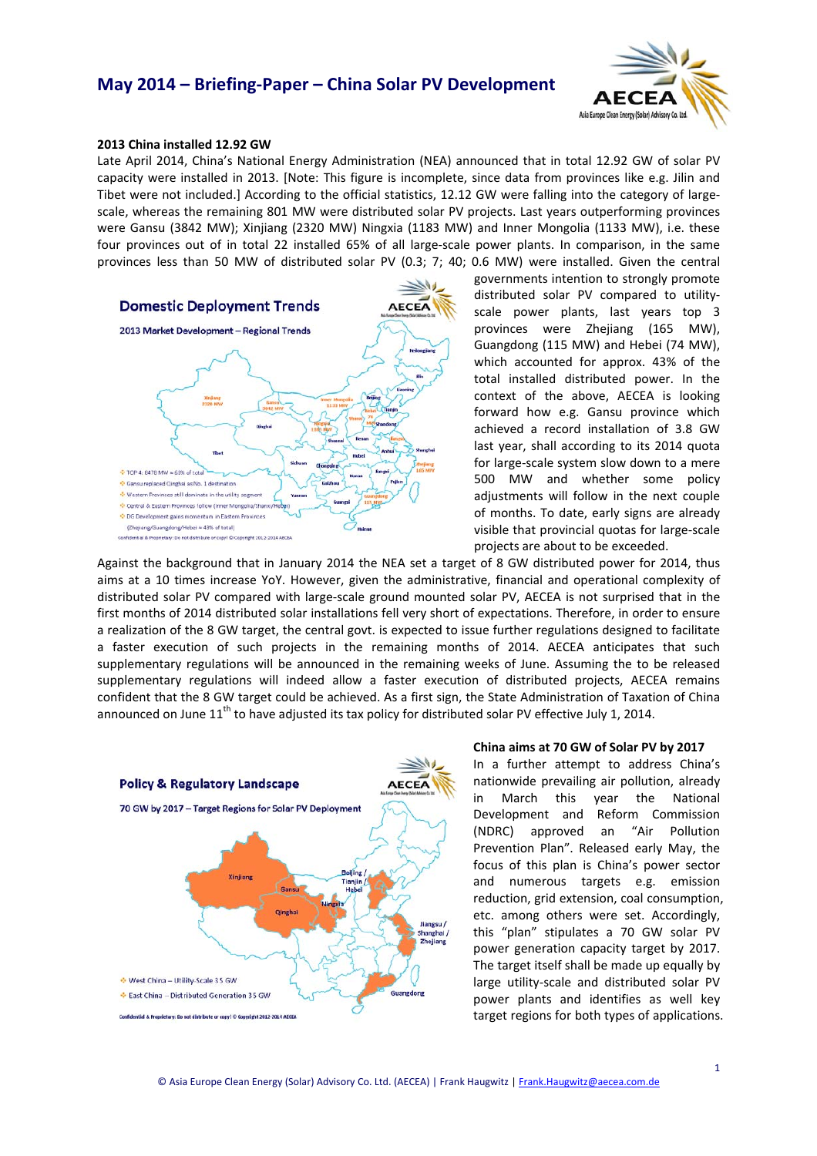## **May 2014 – Briefing‐Paper – China Solar PV Development**



### **2013 China installed 12.92 GW**

Late April 2014, China's National Energy Administration (NEA) announced that in total 12.92 GW of solar PV capacity were installed in 2013. [Note: This figure is incomplete, since data from provinces like e.g. Jilin and Tibet were not included.] According to the official statistics, 12.12 GW were falling into the category of largescale, whereas the remaining 801 MW were distributed solar PV projects. Last years outperforming provinces were Gansu (3842 MW); Xinjiang (2320 MW) Ningxia (1183 MW) and Inner Mongolia (1133 MW), i.e. these four provinces out of in total 22 installed 65% of all large-scale power plants. In comparison, in the same provinces less than 50 MW of distributed solar PV (0.3; 7; 40; 0.6 MW) were installed. Given the central



governments intention to strongly promote distributed solar PV compared to utility‐ scale power plants, last years top 3 provinces were Zhejiang (165 MW), Guangdong (115 MW) and Hebei (74 MW), which accounted for approx. 43% of the total installed distributed power. In the context of the above, AECEA is looking forward how e.g. Gansu province which achieved a record installation of 3.8 GW last year, shall according to its 2014 quota for large‐scale system slow down to a mere 500 MW and whether some policy adjustments will follow in the next couple of months. To date, early signs are already visible that provincial quotas for large‐scale projects are about to be exceeded.

Against the background that in January 2014 the NEA set a target of 8 GW distributed power for 2014, thus aims at a 10 times increase YoY. However, given the administrative, financial and operational complexity of distributed solar PV compared with large‐scale ground mounted solar PV, AECEA is not surprised that in the first months of 2014 distributed solar installations fell very short of expectations. Therefore, in order to ensure a realization of the 8 GW target, the central govt. is expected to issue further regulations designed to facilitate a faster execution of such projects in the remaining months of 2014. AECEA anticipates that such supplementary regulations will be announced in the remaining weeks of June. Assuming the to be released supplementary regulations will indeed allow a faster execution of distributed projects, AECEA remains confident that the 8 GW target could be achieved. As a first sign, the State Administration of Taxation of China announced on June 11<sup>th</sup> to have adjusted its tax policy for distributed solar PV effective July 1, 2014.



#### **China aims at 70 GW of Solar PV by 2017**

In a further attempt to address China's nationwide prevailing air pollution, already in March this year the National Development and Reform Commission (NDRC) approved an "Air Pollution Prevention Plan". Released early May, the focus of this plan is China's power sector and numerous targets e.g. emission reduction, grid extension, coal consumption, etc. among others were set. Accordingly, this "plan" stipulates a 70 GW solar PV power generation capacity target by 2017. The target itself shall be made up equally by large utility‐scale and distributed solar PV power plants and identifies as well key target regions for both types of applications.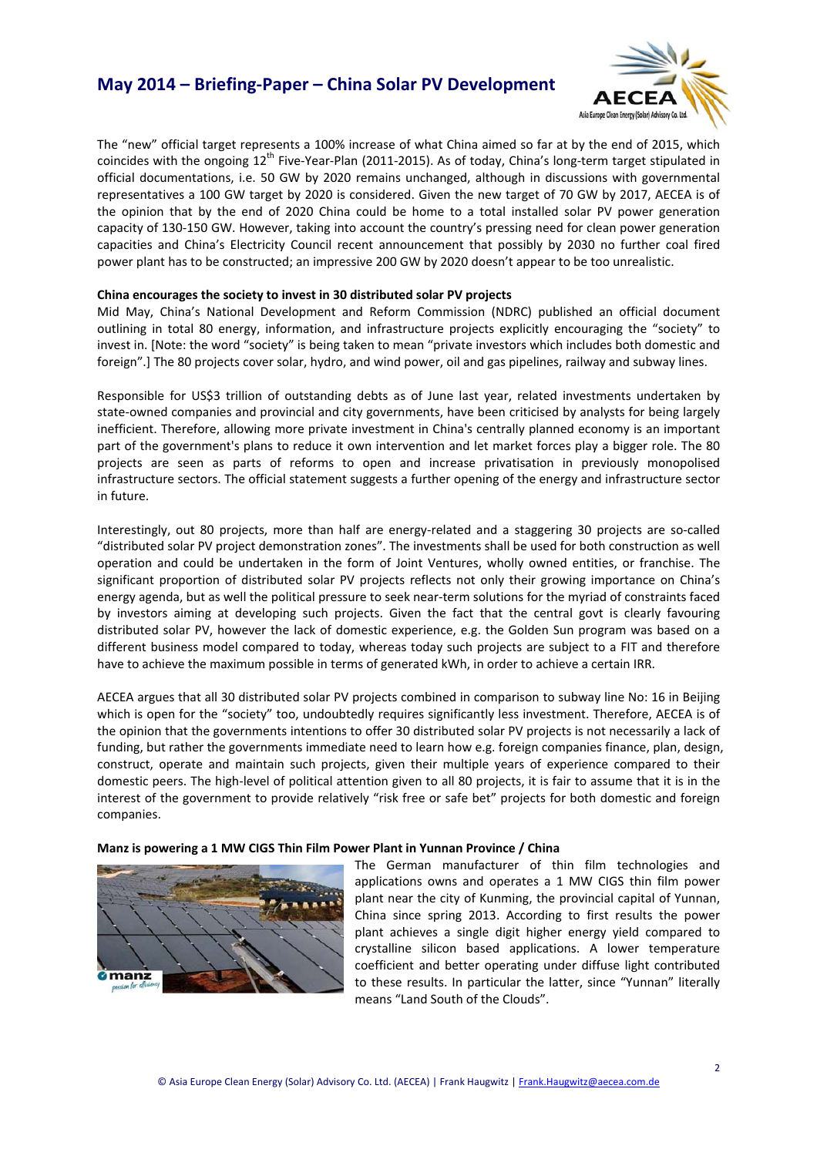## **May 2014 – Briefing‐Paper – China Solar PV Development**



The "new" official target represents a 100% increase of what China aimed so far at by the end of 2015, which coincides with the ongoing 12<sup>th</sup> Five-Year-Plan (2011-2015). As of today, China's long-term target stipulated in official documentations, i.e. 50 GW by 2020 remains unchanged, although in discussions with governmental representatives a 100 GW target by 2020 is considered. Given the new target of 70 GW by 2017, AECEA is of the opinion that by the end of 2020 China could be home to a total installed solar PV power generation capacity of 130-150 GW. However, taking into account the country's pressing need for clean power generation capacities and China's Electricity Council recent announcement that possibly by 2030 no further coal fired power plant has to be constructed; an impressive 200 GW by 2020 doesn't appear to be too unrealistic.

### **China encourages the society to invest in 30 distributed solar PV projects**

Mid May, China's National Development and Reform Commission (NDRC) published an official document outlining in total 80 energy, information, and infrastructure projects explicitly encouraging the "society" to invest in. [Note: the word "society" is being taken to mean "private investors which includes both domestic and foreign".] The 80 projects cover solar, hydro, and wind power, oil and gas pipelines, railway and subway lines.

Responsible for US\$3 trillion of outstanding debts as of June last year, related investments undertaken by state-owned companies and provincial and city governments, have been criticised by analysts for being largely inefficient. Therefore, allowing more private investment in China's centrally planned economy is an important part of the government's plans to reduce it own intervention and let market forces play a bigger role. The 80 projects are seen as parts of reforms to open and increase privatisation in previously monopolised infrastructure sectors. The official statement suggests a further opening of the energy and infrastructure sector in future.

Interestingly, out 80 projects, more than half are energy-related and a staggering 30 projects are so-called "distributed solar PV project demonstration zones". The investments shall be used for both construction as well operation and could be undertaken in the form of Joint Ventures, wholly owned entities, or franchise. The significant proportion of distributed solar PV projects reflects not only their growing importance on China's energy agenda, but as well the political pressure to seek near-term solutions for the myriad of constraints faced by investors aiming at developing such projects. Given the fact that the central govt is clearly favouring distributed solar PV, however the lack of domestic experience, e.g. the Golden Sun program was based on a different business model compared to today, whereas today such projects are subject to a FIT and therefore have to achieve the maximum possible in terms of generated kWh, in order to achieve a certain IRR.

AECEA argues that all 30 distributed solar PV projects combined in comparison to subway line No: 16 in Beijing which is open for the "society" too, undoubtedly requires significantly less investment. Therefore, AECEA is of the opinion that the governments intentions to offer 30 distributed solar PV projects is not necessarily a lack of funding, but rather the governments immediate need to learn how e.g. foreign companies finance, plan, design, construct, operate and maintain such projects, given their multiple years of experience compared to their domestic peers. The high‐level of political attention given to all 80 projects, it is fair to assume that it is in the interest of the government to provide relatively "risk free or safe bet" projects for both domestic and foreign companies.

### **Manz is powering a 1 MW CIGS Thin Film Power Plant in Yunnan Province / China**



The German manufacturer of thin film technologies and applications owns and operates a 1 MW CIGS thin film power plant near the city of Kunming, the provincial capital of Yunnan, China since spring 2013. According to first results the power plant achieves a single digit higher energy yield compared to crystalline silicon based applications. A lower temperature coefficient and better operating under diffuse light contributed to these results. In particular the latter, since "Yunnan" literally means "Land South of the Clouds".